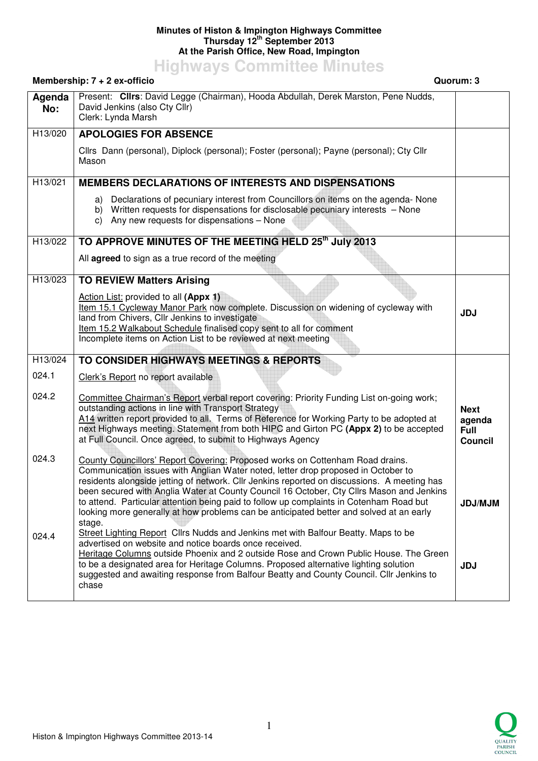## **Minutes of Histon & Impington Highways Committee Thursday 12th September 2013 At the Parish Office, New Road, Impington**

**Highways Committee Minutes** 

## **Membership: 7 + 2 ex-officio Quorum: 3 Agenda No:**  Present: **Cllrs**: David Legge (Chairman), Hooda Abdullah, Derek Marston, Pene Nudds, David Jenkins (also Cty Cllr) Clerk: Lynda Marsh H13/020 **APOLOGIES FOR ABSENCE** Cllrs Dann (personal), Diplock (personal); Foster (personal); Payne (personal); Cty Cllr Mason H13/021 **MEMBERS DECLARATIONS OF INTERESTS AND DISPENSATIONS** a) Declarations of pecuniary interest from Councillors on items on the agenda- None b) Written requests for dispensations for disclosable pecuniary interests – None c) Any new requests for dispensations – None H13/022 **TO APPROVE MINUTES OF THE MEETING HELD 25th July 2013** All **agreed** to sign as a true record of the meeting H13/023 **TO REVIEW Matters Arising** Action List: provided to all **(Appx 1)** Item 15.1 Cycleway Manor Park now complete. Discussion on widening of cycleway with land from Chivers, Cllr Jenkins to investigate Item 15.2 Walkabout Schedule finalised copy sent to all for comment Incomplete items on Action List to be reviewed at next meeting **JDJ**  H13/024 024.1 024.2 024.3 024.4 **TO CONSIDER HIGHWAYS MEETINGS & REPORTS** Clerk's Report no report available Committee Chairman's Report verbal report covering: Priority Funding List on-going work; outstanding actions in line with Transport Strategy A14 written report provided to all. Terms of Reference for Working Party to be adopted at next Highways meeting. Statement from both HIPC and Girton PC **(Appx 2)** to be accepted at Full Council. Once agreed, to submit to Highways Agency County Councillors' Report Covering: Proposed works on Cottenham Road drains. Communication issues with Anglian Water noted, letter drop proposed in October to residents alongside jetting of network. Cllr Jenkins reported on discussions. A meeting has been secured with Anglia Water at County Council 16 October, Cty Cllrs Mason and Jenkins to attend. Particular attention being paid to follow up complaints in Cotenham Road but looking more generally at how problems can be anticipated better and solved at an early stage. Street Lighting Report Cllrs Nudds and Jenkins met with Balfour Beatty. Maps to be advertised on website and notice boards once received. Heritage Columns outside Phoenix and 2 outside Rose and Crown Public House. The Green to be a designated area for Heritage Columns. Proposed alternative lighting solution suggested and awaiting response from Balfour Beatty and County Council. Cllr Jenkins to chase **Next agenda Full Council JDJ/MJM JDJ**